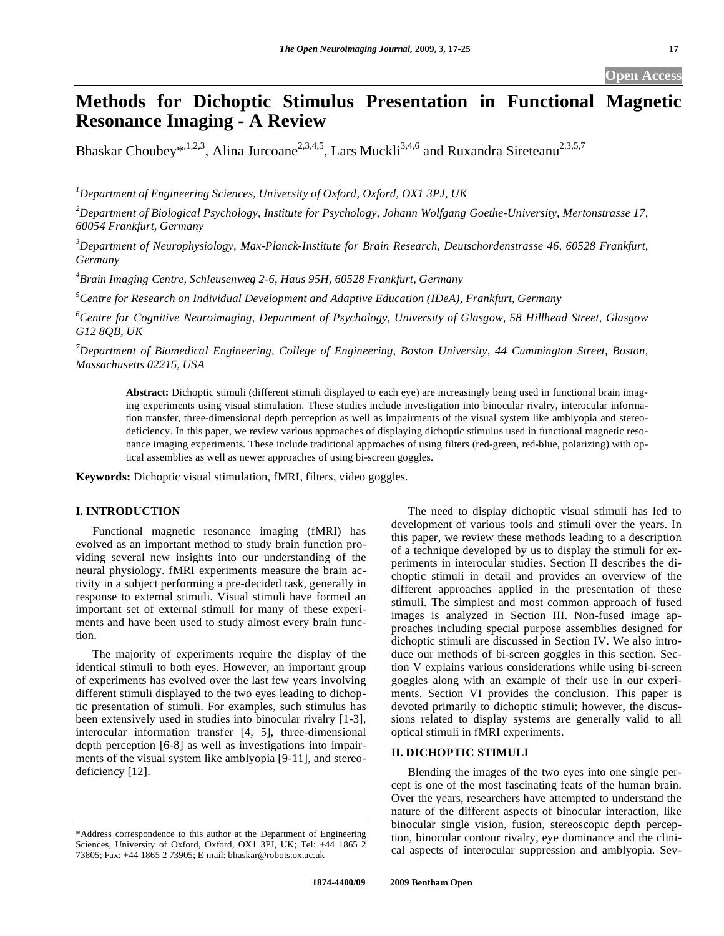# **Methods for Dichoptic Stimulus Presentation in Functional Magnetic Resonance Imaging - A Review**

Bhaskar Choubey\*,<sup>1,2,3</sup>, Alina Jurcoane<sup>2,3,4,5</sup>, Lars Muckli<sup>3,4,6</sup> and Ruxandra Sireteanu<sup>2,3,5,7</sup>

*1 Department of Engineering Sciences, University of Oxford, Oxford, OX1 3PJ, UK* 

*2 Department of Biological Psychology, Institute for Psychology, Johann Wolfgang Goethe-University, Mertonstrasse 17, 60054 Frankfurt, Germany* 

*3 Department of Neurophysiology, Max-Planck-Institute for Brain Research, Deutschordenstrasse 46, 60528 Frankfurt, Germany* 

*4 Brain Imaging Centre, Schleusenweg 2-6, Haus 95H, 60528 Frankfurt, Germany* 

*5 Centre for Research on Individual Development and Adaptive Education (IDeA), Frankfurt, Germany* 

*6 Centre for Cognitive Neuroimaging, Department of Psychology, University of Glasgow, 58 Hillhead Street, Glasgow G12 8QB, UK* 

*7 Department of Biomedical Engineering, College of Engineering, Boston University, 44 Cummington Street, Boston, Massachusetts 02215, USA* 

**Abstract:** Dichoptic stimuli (different stimuli displayed to each eye) are increasingly being used in functional brain imaging experiments using visual stimulation. These studies include investigation into binocular rivalry, interocular information transfer, three-dimensional depth perception as well as impairments of the visual system like amblyopia and stereodeficiency. In this paper, we review various approaches of displaying dichoptic stimulus used in functional magnetic resonance imaging experiments. These include traditional approaches of using filters (red-green, red-blue, polarizing) with optical assemblies as well as newer approaches of using bi-screen goggles.

**Keywords:** Dichoptic visual stimulation, fMRI, filters, video goggles.

# **I. INTRODUCTION**

 Functional magnetic resonance imaging (fMRI) has evolved as an important method to study brain function providing several new insights into our understanding of the neural physiology. fMRI experiments measure the brain activity in a subject performing a pre-decided task, generally in response to external stimuli. Visual stimuli have formed an important set of external stimuli for many of these experiments and have been used to study almost every brain function.

 The majority of experiments require the display of the identical stimuli to both eyes. However, an important group of experiments has evolved over the last few years involving different stimuli displayed to the two eyes leading to dichoptic presentation of stimuli. For examples, such stimulus has been extensively used in studies into binocular rivalry [1-3], interocular information transfer [4, 5], three-dimensional depth perception [6-8] as well as investigations into impairments of the visual system like amblyopia [9-11], and stereodeficiency [12].

 The need to display dichoptic visual stimuli has led to development of various tools and stimuli over the years. In this paper, we review these methods leading to a description of a technique developed by us to display the stimuli for experiments in interocular studies. Section II describes the dichoptic stimuli in detail and provides an overview of the different approaches applied in the presentation of these stimuli. The simplest and most common approach of fused images is analyzed in Section III. Non-fused image approaches including special purpose assemblies designed for dichoptic stimuli are discussed in Section IV. We also introduce our methods of bi-screen goggles in this section. Section V explains various considerations while using bi-screen goggles along with an example of their use in our experiments. Section VI provides the conclusion. This paper is devoted primarily to dichoptic stimuli; however, the discussions related to display systems are generally valid to all optical stimuli in fMRI experiments.

# **II. DICHOPTIC STIMULI**

 Blending the images of the two eyes into one single percept is one of the most fascinating feats of the human brain. Over the years, researchers have attempted to understand the nature of the different aspects of binocular interaction, like binocular single vision, fusion, stereoscopic depth perception, binocular contour rivalry, eye dominance and the clinical aspects of interocular suppression and amblyopia. Sev-

<sup>\*</sup>Address correspondence to this author at the Department of Engineering Sciences, University of Oxford, Oxford, OX1 3PJ, UK; Tel: +44 1865 2 73805; Fax: +44 1865 2 73905; E-mail: bhaskar@robots.ox.ac.uk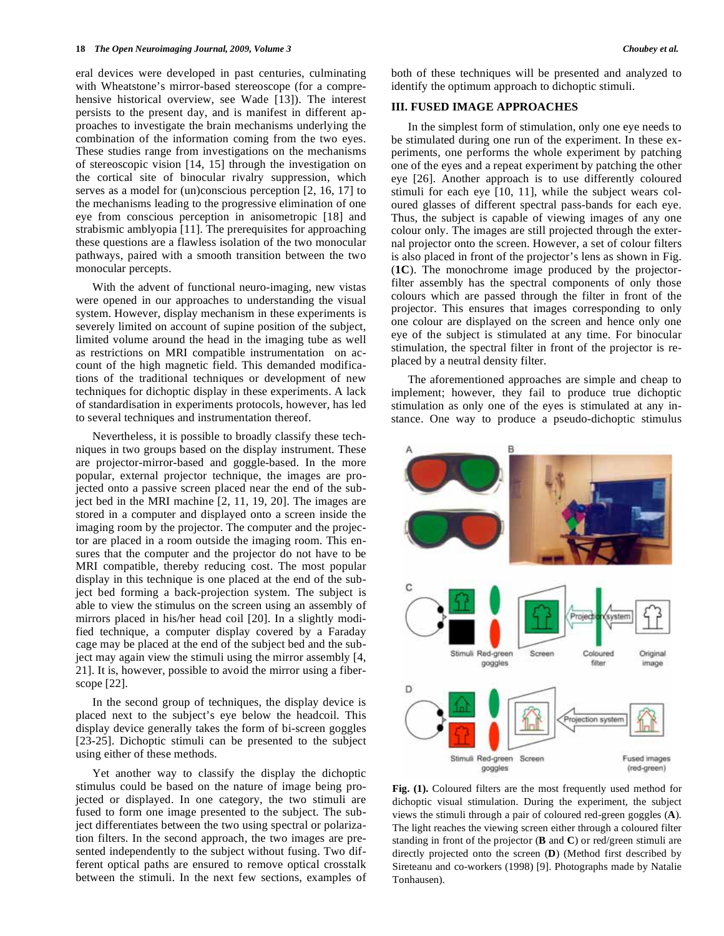eral devices were developed in past centuries, culminating with Wheatstone's mirror-based stereoscope (for a comprehensive historical overview, see Wade [13]). The interest persists to the present day, and is manifest in different approaches to investigate the brain mechanisms underlying the combination of the information coming from the two eyes. These studies range from investigations on the mechanisms of stereoscopic vision [14, 15] through the investigation on the cortical site of binocular rivalry suppression, which serves as a model for (un)conscious perception [2, 16, 17] to the mechanisms leading to the progressive elimination of one eye from conscious perception in anisometropic [18] and strabismic amblyopia [11]. The prerequisites for approaching these questions are a flawless isolation of the two monocular pathways, paired with a smooth transition between the two monocular percepts.

 With the advent of functional neuro-imaging, new vistas were opened in our approaches to understanding the visual system. However, display mechanism in these experiments is severely limited on account of supine position of the subject, limited volume around the head in the imaging tube as well as restrictions on MRI compatible instrumentation on account of the high magnetic field. This demanded modifications of the traditional techniques or development of new techniques for dichoptic display in these experiments. A lack of standardisation in experiments protocols, however, has led to several techniques and instrumentation thereof.

 Nevertheless, it is possible to broadly classify these techniques in two groups based on the display instrument. These are projector-mirror-based and goggle-based. In the more popular, external projector technique, the images are projected onto a passive screen placed near the end of the subject bed in the MRI machine [2, 11, 19, 20]. The images are stored in a computer and displayed onto a screen inside the imaging room by the projector. The computer and the projector are placed in a room outside the imaging room. This ensures that the computer and the projector do not have to be MRI compatible, thereby reducing cost. The most popular display in this technique is one placed at the end of the subject bed forming a back-projection system. The subject is able to view the stimulus on the screen using an assembly of mirrors placed in his/her head coil [20]. In a slightly modified technique, a computer display covered by a Faraday cage may be placed at the end of the subject bed and the subject may again view the stimuli using the mirror assembly [4, 21]. It is, however, possible to avoid the mirror using a fiberscope [22].

 In the second group of techniques, the display device is placed next to the subject's eye below the headcoil. This display device generally takes the form of bi-screen goggles [23-25]. Dichoptic stimuli can be presented to the subject using either of these methods.

 Yet another way to classify the display the dichoptic stimulus could be based on the nature of image being projected or displayed. In one category, the two stimuli are fused to form one image presented to the subject. The subject differentiates between the two using spectral or polarization filters. In the second approach, the two images are presented independently to the subject without fusing. Two different optical paths are ensured to remove optical crosstalk between the stimuli. In the next few sections, examples of both of these techniques will be presented and analyzed to identify the optimum approach to dichoptic stimuli.

# **III. FUSED IMAGE APPROACHES**

 In the simplest form of stimulation, only one eye needs to be stimulated during one run of the experiment. In these experiments, one performs the whole experiment by patching one of the eyes and a repeat experiment by patching the other eye [26]. Another approach is to use differently coloured stimuli for each eye [10, 11], while the subject wears coloured glasses of different spectral pass-bands for each eye. Thus, the subject is capable of viewing images of any one colour only. The images are still projected through the external projector onto the screen. However, a set of colour filters is also placed in front of the projector's lens as shown in Fig. (**1C**). The monochrome image produced by the projectorfilter assembly has the spectral components of only those colours which are passed through the filter in front of the projector. This ensures that images corresponding to only one colour are displayed on the screen and hence only one eye of the subject is stimulated at any time. For binocular stimulation, the spectral filter in front of the projector is replaced by a neutral density filter.

 The aforementioned approaches are simple and cheap to implement; however, they fail to produce true dichoptic stimulation as only one of the eyes is stimulated at any instance. One way to produce a pseudo-dichoptic stimulus



**Fig. (1).** Coloured filters are the most frequently used method for dichoptic visual stimulation. During the experiment, the subject views the stimuli through a pair of coloured red-green goggles (**A**). The light reaches the viewing screen either through a coloured filter standing in front of the projector (**B** and **C**) or red/green stimuli are directly projected onto the screen (**D**) (Method first described by Sireteanu and co-workers (1998) [9]. Photographs made by Natalie Tonhausen).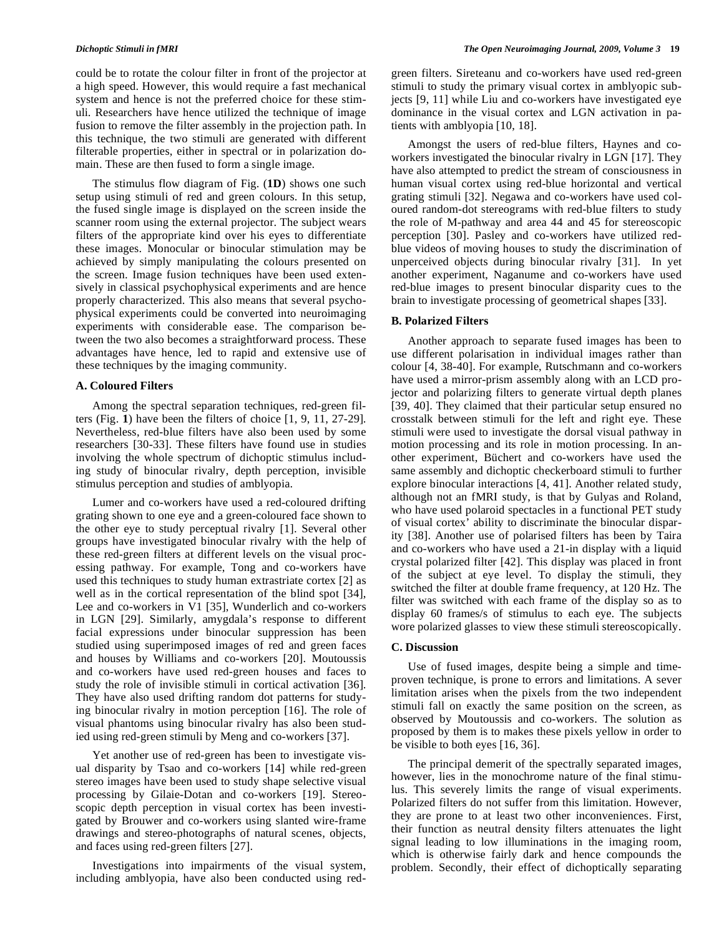could be to rotate the colour filter in front of the projector at a high speed. However, this would require a fast mechanical system and hence is not the preferred choice for these stimuli. Researchers have hence utilized the technique of image fusion to remove the filter assembly in the projection path. In this technique, the two stimuli are generated with different filterable properties, either in spectral or in polarization domain. These are then fused to form a single image.

 The stimulus flow diagram of Fig. (**1D**) shows one such setup using stimuli of red and green colours. In this setup, the fused single image is displayed on the screen inside the scanner room using the external projector. The subject wears filters of the appropriate kind over his eyes to differentiate these images. Monocular or binocular stimulation may be achieved by simply manipulating the colours presented on the screen. Image fusion techniques have been used extensively in classical psychophysical experiments and are hence properly characterized. This also means that several psychophysical experiments could be converted into neuroimaging experiments with considerable ease. The comparison between the two also becomes a straightforward process. These advantages have hence, led to rapid and extensive use of these techniques by the imaging community.

### **A. Coloured Filters**

 Among the spectral separation techniques, red-green filters (Fig. **1**) have been the filters of choice [1, 9, 11, 27-29]. Nevertheless, red-blue filters have also been used by some researchers [30-33]. These filters have found use in studies involving the whole spectrum of dichoptic stimulus including study of binocular rivalry, depth perception, invisible stimulus perception and studies of amblyopia.

 Lumer and co-workers have used a red-coloured drifting grating shown to one eye and a green-coloured face shown to the other eye to study perceptual rivalry [1]. Several other groups have investigated binocular rivalry with the help of these red-green filters at different levels on the visual processing pathway. For example, Tong and co-workers have used this techniques to study human extrastriate cortex [2] as well as in the cortical representation of the blind spot [34], Lee and co-workers in V1 [35], Wunderlich and co-workers in LGN [29]. Similarly, amygdala's response to different facial expressions under binocular suppression has been studied using superimposed images of red and green faces and houses by Williams and co-workers [20]. Moutoussis and co-workers have used red-green houses and faces to study the role of invisible stimuli in cortical activation [36]. They have also used drifting random dot patterns for studying binocular rivalry in motion perception [16]. The role of visual phantoms using binocular rivalry has also been studied using red-green stimuli by Meng and co-workers [37].

 Yet another use of red-green has been to investigate visual disparity by Tsao and co-workers [14] while red-green stereo images have been used to study shape selective visual processing by Gilaie-Dotan and co-workers [19]. Stereoscopic depth perception in visual cortex has been investigated by Brouwer and co-workers using slanted wire-frame drawings and stereo-photographs of natural scenes, objects, and faces using red-green filters [27].

 Investigations into impairments of the visual system, including amblyopia, have also been conducted using redgreen filters. Sireteanu and co-workers have used red-green stimuli to study the primary visual cortex in amblyopic subjects [9, 11] while Liu and co-workers have investigated eye dominance in the visual cortex and LGN activation in patients with amblyopia [10, 18].

 Amongst the users of red-blue filters, Haynes and coworkers investigated the binocular rivalry in LGN [17]. They have also attempted to predict the stream of consciousness in human visual cortex using red-blue horizontal and vertical grating stimuli [32]. Negawa and co-workers have used coloured random-dot stereograms with red-blue filters to study the role of M-pathway and area 44 and 45 for stereoscopic perception [30]. Pasley and co-workers have utilized redblue videos of moving houses to study the discrimination of unperceived objects during binocular rivalry [31]. In yet another experiment, Naganume and co-workers have used red-blue images to present binocular disparity cues to the brain to investigate processing of geometrical shapes [33].

# **B. Polarized Filters**

 Another approach to separate fused images has been to use different polarisation in individual images rather than colour [4, 38-40]. For example, Rutschmann and co-workers have used a mirror-prism assembly along with an LCD projector and polarizing filters to generate virtual depth planes [39, 40]. They claimed that their particular setup ensured no crosstalk between stimuli for the left and right eye. These stimuli were used to investigate the dorsal visual pathway in motion processing and its role in motion processing. In another experiment, Büchert and co-workers have used the same assembly and dichoptic checkerboard stimuli to further explore binocular interactions [4, 41]. Another related study, although not an fMRI study, is that by Gulyas and Roland, who have used polaroid spectacles in a functional PET study of visual cortex' ability to discriminate the binocular disparity [38]. Another use of polarised filters has been by Taira and co-workers who have used a 21-in display with a liquid crystal polarized filter [42]. This display was placed in front of the subject at eye level. To display the stimuli, they switched the filter at double frame frequency, at 120 Hz. The filter was switched with each frame of the display so as to display 60 frames/s of stimulus to each eye. The subjects wore polarized glasses to view these stimuli stereoscopically.

# **C. Discussion**

 Use of fused images, despite being a simple and timeproven technique, is prone to errors and limitations. A sever limitation arises when the pixels from the two independent stimuli fall on exactly the same position on the screen, as observed by Moutoussis and co-workers. The solution as proposed by them is to makes these pixels yellow in order to be visible to both eyes [16, 36].

 The principal demerit of the spectrally separated images, however, lies in the monochrome nature of the final stimulus. This severely limits the range of visual experiments. Polarized filters do not suffer from this limitation. However, they are prone to at least two other inconveniences. First, their function as neutral density filters attenuates the light signal leading to low illuminations in the imaging room, which is otherwise fairly dark and hence compounds the problem. Secondly, their effect of dichoptically separating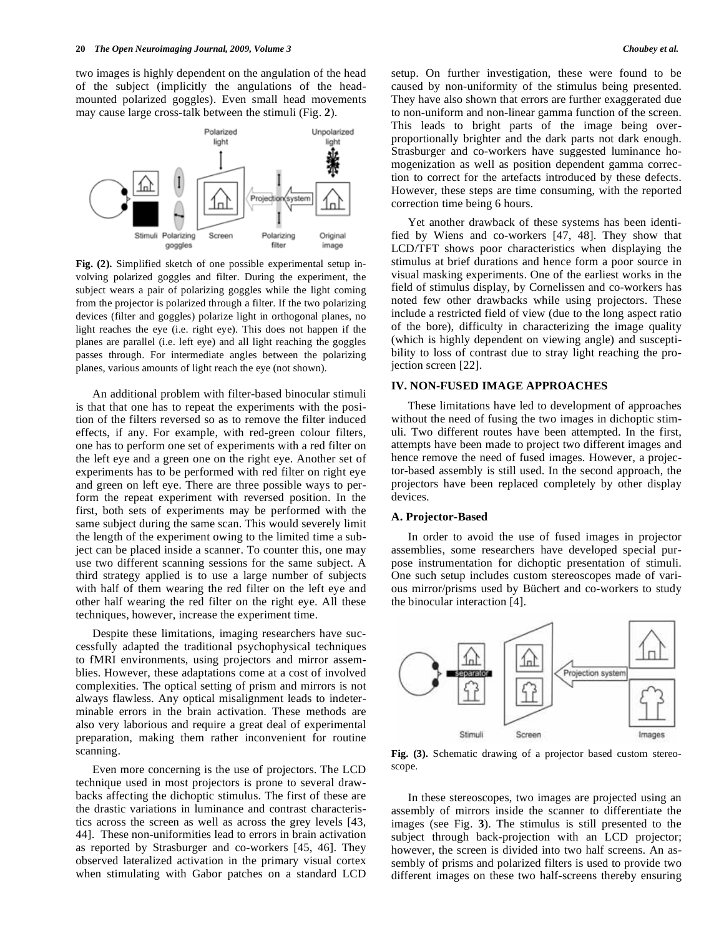two images is highly dependent on the angulation of the head of the subject (implicitly the angulations of the headmounted polarized goggles). Even small head movements may cause large cross-talk between the stimuli (Fig. **2**).



**Fig. (2).** Simplified sketch of one possible experimental setup involving polarized goggles and filter. During the experiment, the subject wears a pair of polarizing goggles while the light coming from the projector is polarized through a filter. If the two polarizing devices (filter and goggles) polarize light in orthogonal planes, no light reaches the eye (i.e. right eye). This does not happen if the planes are parallel (i.e. left eye) and all light reaching the goggles passes through. For intermediate angles between the polarizing planes, various amounts of light reach the eye (not shown).

 An additional problem with filter-based binocular stimuli is that that one has to repeat the experiments with the position of the filters reversed so as to remove the filter induced effects, if any. For example, with red-green colour filters, one has to perform one set of experiments with a red filter on the left eye and a green one on the right eye. Another set of experiments has to be performed with red filter on right eye and green on left eye. There are three possible ways to perform the repeat experiment with reversed position. In the first, both sets of experiments may be performed with the same subject during the same scan. This would severely limit the length of the experiment owing to the limited time a subject can be placed inside a scanner. To counter this, one may use two different scanning sessions for the same subject. A third strategy applied is to use a large number of subjects with half of them wearing the red filter on the left eye and other half wearing the red filter on the right eye. All these techniques, however, increase the experiment time.

 Despite these limitations, imaging researchers have successfully adapted the traditional psychophysical techniques to fMRI environments, using projectors and mirror assemblies. However, these adaptations come at a cost of involved complexities. The optical setting of prism and mirrors is not always flawless. Any optical misalignment leads to indeterminable errors in the brain activation. These methods are also very laborious and require a great deal of experimental preparation, making them rather inconvenient for routine scanning.

 Even more concerning is the use of projectors. The LCD technique used in most projectors is prone to several drawbacks affecting the dichoptic stimulus. The first of these are the drastic variations in luminance and contrast characteristics across the screen as well as across the grey levels [43, 44]. These non-uniformities lead to errors in brain activation as reported by Strasburger and co-workers [45, 46]. They observed lateralized activation in the primary visual cortex when stimulating with Gabor patches on a standard LCD

setup. On further investigation, these were found to be caused by non-uniformity of the stimulus being presented. They have also shown that errors are further exaggerated due to non-uniform and non-linear gamma function of the screen. This leads to bright parts of the image being overproportionally brighter and the dark parts not dark enough. Strasburger and co-workers have suggested luminance homogenization as well as position dependent gamma correction to correct for the artefacts introduced by these defects. However, these steps are time consuming, with the reported correction time being 6 hours.

 Yet another drawback of these systems has been identified by Wiens and co-workers [47, 48]. They show that LCD/TFT shows poor characteristics when displaying the stimulus at brief durations and hence form a poor source in visual masking experiments. One of the earliest works in the field of stimulus display, by Cornelissen and co-workers has noted few other drawbacks while using projectors. These include a restricted field of view (due to the long aspect ratio of the bore), difficulty in characterizing the image quality (which is highly dependent on viewing angle) and susceptibility to loss of contrast due to stray light reaching the projection screen [22].

# **IV. NON-FUSED IMAGE APPROACHES**

 These limitations have led to development of approaches without the need of fusing the two images in dichoptic stimuli. Two different routes have been attempted. In the first, attempts have been made to project two different images and hence remove the need of fused images. However, a projector-based assembly is still used. In the second approach, the projectors have been replaced completely by other display devices.

### **A. Projector-Based**

 In order to avoid the use of fused images in projector assemblies, some researchers have developed special purpose instrumentation for dichoptic presentation of stimuli. One such setup includes custom stereoscopes made of various mirror/prisms used by Büchert and co-workers to study the binocular interaction [4].



**Fig. (3).** Schematic drawing of a projector based custom stereoscope.

 In these stereoscopes, two images are projected using an assembly of mirrors inside the scanner to differentiate the images (see Fig. **3**). The stimulus is still presented to the subject through back-projection with an LCD projector; however, the screen is divided into two half screens. An assembly of prisms and polarized filters is used to provide two different images on these two half-screens thereby ensuring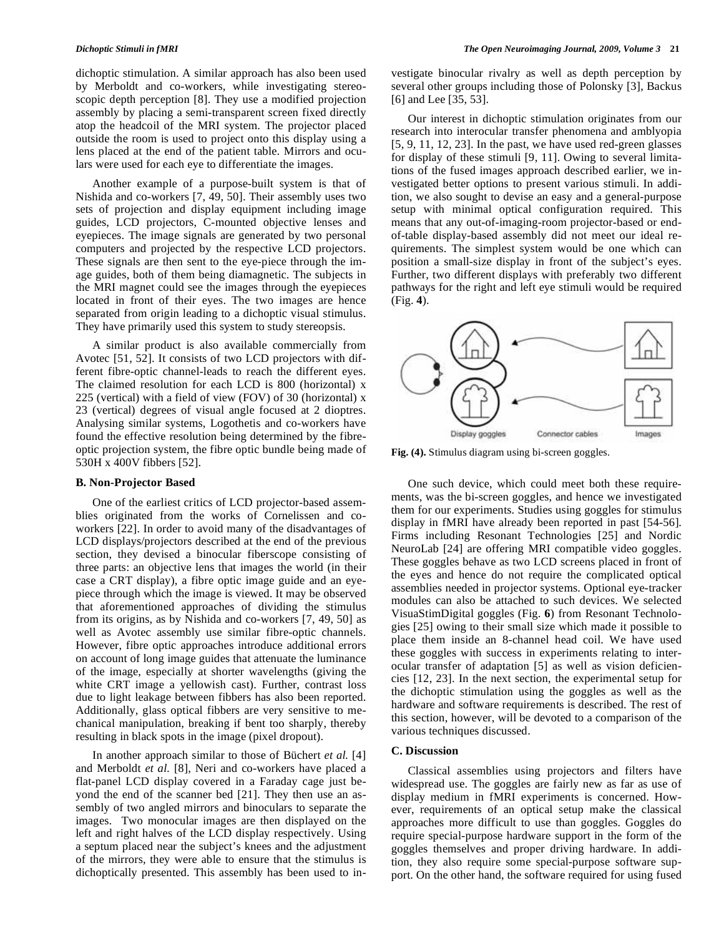dichoptic stimulation. A similar approach has also been used by Merboldt and co-workers, while investigating stereoscopic depth perception [8]. They use a modified projection assembly by placing a semi-transparent screen fixed directly atop the headcoil of the MRI system. The projector placed outside the room is used to project onto this display using a lens placed at the end of the patient table. Mirrors and oculars were used for each eye to differentiate the images.

 Another example of a purpose-built system is that of Nishida and co-workers [7, 49, 50]. Their assembly uses two sets of projection and display equipment including image guides, LCD projectors, C-mounted objective lenses and eyepieces. The image signals are generated by two personal computers and projected by the respective LCD projectors. These signals are then sent to the eye-piece through the image guides, both of them being diamagnetic. The subjects in the MRI magnet could see the images through the eyepieces located in front of their eyes. The two images are hence separated from origin leading to a dichoptic visual stimulus. They have primarily used this system to study stereopsis.

 A similar product is also available commercially from Avotec [51, 52]. It consists of two LCD projectors with different fibre-optic channel-leads to reach the different eyes. The claimed resolution for each LCD is 800 (horizontal) x 225 (vertical) with a field of view (FOV) of 30 (horizontal) x 23 (vertical) degrees of visual angle focused at 2 dioptres. Analysing similar systems, Logothetis and co-workers have found the effective resolution being determined by the fibreoptic projection system, the fibre optic bundle being made of 530H x 400V fibbers [52].

#### **B. Non-Projector Based**

 One of the earliest critics of LCD projector-based assemblies originated from the works of Cornelissen and coworkers [22]. In order to avoid many of the disadvantages of LCD displays/projectors described at the end of the previous section, they devised a binocular fiberscope consisting of three parts: an objective lens that images the world (in their case a CRT display), a fibre optic image guide and an eyepiece through which the image is viewed. It may be observed that aforementioned approaches of dividing the stimulus from its origins, as by Nishida and co-workers [7, 49, 50] as well as Avotec assembly use similar fibre-optic channels. However, fibre optic approaches introduce additional errors on account of long image guides that attenuate the luminance of the image, especially at shorter wavelengths (giving the white CRT image a yellowish cast). Further, contrast loss due to light leakage between fibbers has also been reported. Additionally, glass optical fibbers are very sensitive to mechanical manipulation, breaking if bent too sharply, thereby resulting in black spots in the image (pixel dropout).

 In another approach similar to those of Büchert *et al.* [4] and Merboldt *et al.* [8], Neri and co-workers have placed a flat-panel LCD display covered in a Faraday cage just beyond the end of the scanner bed [21]. They then use an assembly of two angled mirrors and binoculars to separate the images. Two monocular images are then displayed on the left and right halves of the LCD display respectively. Using a septum placed near the subject's knees and the adjustment of the mirrors, they were able to ensure that the stimulus is dichoptically presented. This assembly has been used to investigate binocular rivalry as well as depth perception by several other groups including those of Polonsky [3], Backus [6] and Lee [35, 53].

 Our interest in dichoptic stimulation originates from our research into interocular transfer phenomena and amblyopia [5, 9, 11, 12, 23]. In the past, we have used red-green glasses for display of these stimuli [9, 11]. Owing to several limitations of the fused images approach described earlier, we investigated better options to present various stimuli. In addition, we also sought to devise an easy and a general-purpose setup with minimal optical configuration required. This means that any out-of-imaging-room projector-based or endof-table display-based assembly did not meet our ideal requirements. The simplest system would be one which can position a small-size display in front of the subject's eyes. Further, two different displays with preferably two different pathways for the right and left eye stimuli would be required (Fig. **4**).



**Fig. (4).** Stimulus diagram using bi-screen goggles.

 One such device, which could meet both these requirements, was the bi-screen goggles, and hence we investigated them for our experiments. Studies using goggles for stimulus display in fMRI have already been reported in past [54-56]. Firms including Resonant Technologies [25] and Nordic NeuroLab [24] are offering MRI compatible video goggles. These goggles behave as two LCD screens placed in front of the eyes and hence do not require the complicated optical assemblies needed in projector systems. Optional eye-tracker modules can also be attached to such devices. We selected VisuaStimDigital goggles (Fig. **6**) from Resonant Technologies [25] owing to their small size which made it possible to place them inside an 8-channel head coil. We have used these goggles with success in experiments relating to interocular transfer of adaptation [5] as well as vision deficiencies [12, 23]. In the next section, the experimental setup for the dichoptic stimulation using the goggles as well as the hardware and software requirements is described. The rest of this section, however, will be devoted to a comparison of the various techniques discussed.

### **C. Discussion**

 Classical assemblies using projectors and filters have widespread use. The goggles are fairly new as far as use of display medium in fMRI experiments is concerned. However, requirements of an optical setup make the classical approaches more difficult to use than goggles. Goggles do require special-purpose hardware support in the form of the goggles themselves and proper driving hardware. In addition, they also require some special-purpose software support. On the other hand, the software required for using fused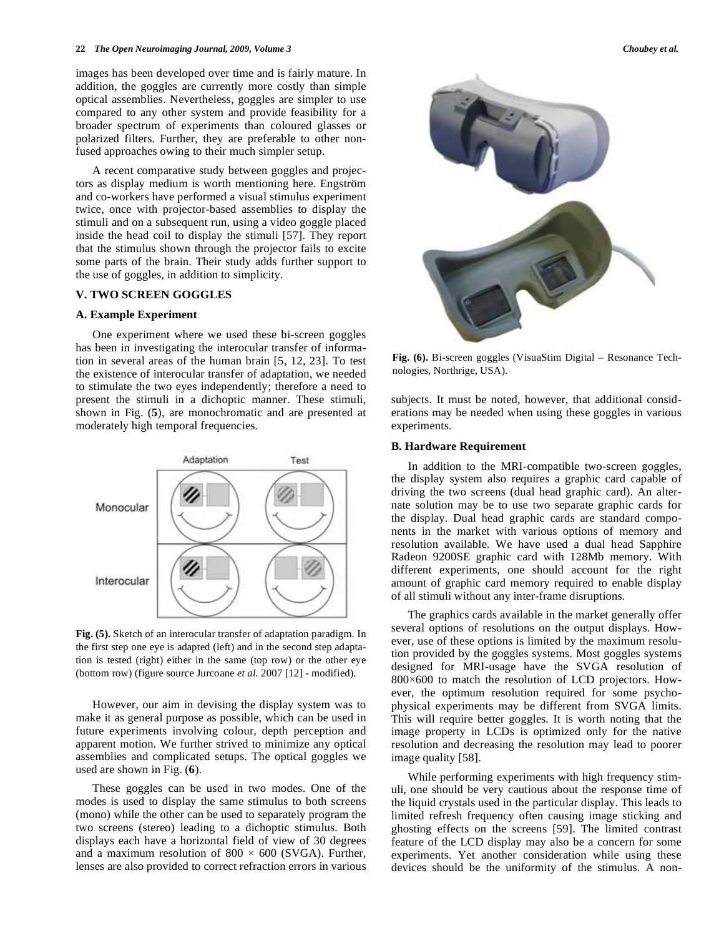images has been developed over time and is fairly mature. In addition, the goggles are currently more costly than simple optical assemblies. Nevertheless, goggles are simpler to use compared to any other system and provide feasibility for a broader spectrum of experiments than coloured glasses or polarized filters. Further, they are preferable to other nonfused approaches owing to their much simpler setup.

 A recent comparative study between goggles and projectors as display medium is worth mentioning here. Engström and co-workers have performed a visual stimulus experiment twice, once with projector-based assemblies to display the stimuli and on a subsequent run, using a video goggle placed inside the head coil to display the stimuli [57]. They report that the stimulus shown through the projector fails to excite some parts of the brain. Their study adds further support to the use of goggles, in addition to simplicity.

## **V. TWO SCREEN GOGGLES**

#### **A. Example Experiment**

 One experiment where we used these bi-screen goggles has been in investigating the interocular transfer of information in several areas of the human brain [5, 12, 23]. To test the existence of interocular transfer of adaptation, we needed to stimulate the two eyes independently; therefore a need to present the stimuli in a dichoptic manner. These stimuli, shown in Fig. (**5**), are monochromatic and are presented at moderately high temporal frequencies.



**Fig. (5).** Sketch of an interocular transfer of adaptation paradigm. In the first step one eye is adapted (left) and in the second step adaptation is tested (right) either in the same (top row) or the other eye (bottom row) (figure source Jurcoane *et al.* 2007 [12] - modified).

 However, our aim in devising the display system was to make it as general purpose as possible, which can be used in future experiments involving colour, depth perception and apparent motion. We further strived to minimize any optical assemblies and complicated setups. The optical goggles we used are shown in Fig. (**6**).

 These goggles can be used in two modes. One of the modes is used to display the same stimulus to both screens (mono) while the other can be used to separately program the two screens (stereo) leading to a dichoptic stimulus. Both displays each have a horizontal field of view of 30 degrees and a maximum resolution of 800  $\times$  600 (SVGA). Further, lenses are also provided to correct refraction errors in various



**Fig. (6).** Bi-screen goggles (VisuaStim Digital – Resonance Technologies, Northrige, USA).

subjects. It must be noted, however, that additional considerations may be needed when using these goggles in various experiments.

# **B. Hardware Requirement**

 In addition to the MRI-compatible two-screen goggles, the display system also requires a graphic card capable of driving the two screens (dual head graphic card). An alternate solution may be to use two separate graphic cards for the display. Dual head graphic cards are standard components in the market with various options of memory and resolution available. We have used a dual head Sapphire Radeon 9200SE graphic card with 128Mb memory. With different experiments, one should account for the right amount of graphic card memory required to enable display of all stimuli without any inter-frame disruptions.

 The graphics cards available in the market generally offer several options of resolutions on the output displays. However, use of these options is limited by the maximum resolution provided by the goggles systems. Most goggles systems designed for MRI-usage have the SVGA resolution of  $800\times600$  to match the resolution of LCD projectors. However, the optimum resolution required for some psychophysical experiments may be different from SVGA limits. This will require better goggles. It is worth noting that the image property in LCDs is optimized only for the native resolution and decreasing the resolution may lead to poorer image quality [58].

 While performing experiments with high frequency stimuli, one should be very cautious about the response time of the liquid crystals used in the particular display. This leads to limited refresh frequency often causing image sticking and ghosting effects on the screens [59]. The limited contrast feature of the LCD display may also be a concern for some experiments. Yet another consideration while using these devices should be the uniformity of the stimulus. A non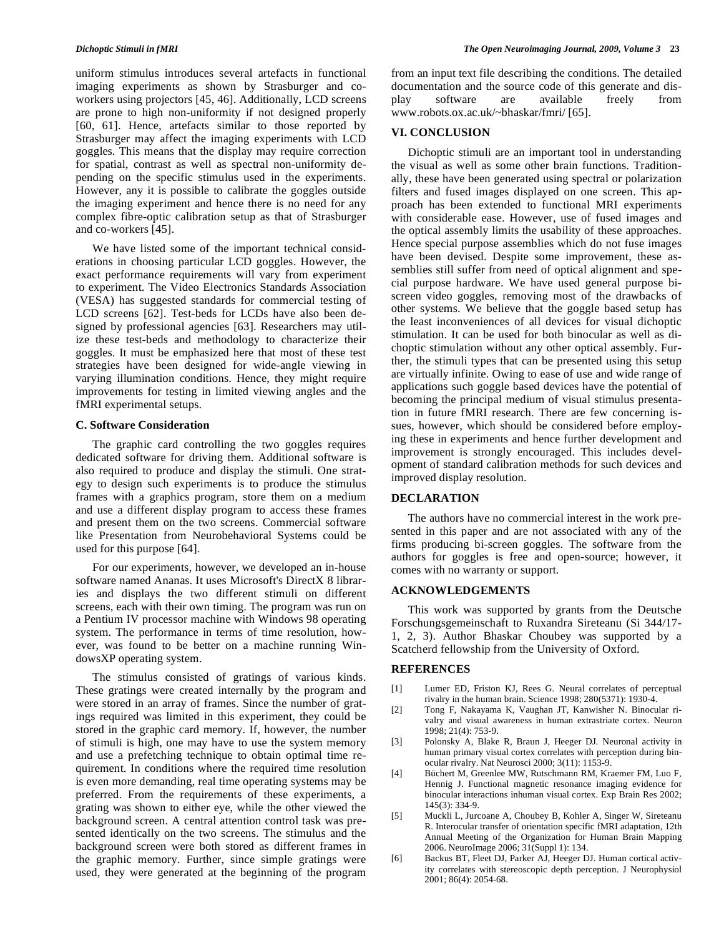uniform stimulus introduces several artefacts in functional imaging experiments as shown by Strasburger and coworkers using projectors [45, 46]. Additionally, LCD screens are prone to high non-uniformity if not designed properly [60, 61]. Hence, artefacts similar to those reported by Strasburger may affect the imaging experiments with LCD goggles. This means that the display may require correction for spatial, contrast as well as spectral non-uniformity depending on the specific stimulus used in the experiments. However, any it is possible to calibrate the goggles outside the imaging experiment and hence there is no need for any complex fibre-optic calibration setup as that of Strasburger and co-workers [45].

 We have listed some of the important technical considerations in choosing particular LCD goggles. However, the exact performance requirements will vary from experiment to experiment. The Video Electronics Standards Association (VESA) has suggested standards for commercial testing of LCD screens [62]. Test-beds for LCDs have also been designed by professional agencies [63]. Researchers may utilize these test-beds and methodology to characterize their goggles. It must be emphasized here that most of these test strategies have been designed for wide-angle viewing in varying illumination conditions. Hence, they might require improvements for testing in limited viewing angles and the fMRI experimental setups.

# **C. Software Consideration**

 The graphic card controlling the two goggles requires dedicated software for driving them. Additional software is also required to produce and display the stimuli. One strategy to design such experiments is to produce the stimulus frames with a graphics program, store them on a medium and use a different display program to access these frames and present them on the two screens. Commercial software like Presentation from Neurobehavioral Systems could be used for this purpose [64].

 For our experiments, however, we developed an in-house software named Ananas. It uses Microsoft's DirectX 8 libraries and displays the two different stimuli on different screens, each with their own timing. The program was run on a Pentium IV processor machine with Windows 98 operating system. The performance in terms of time resolution, however, was found to be better on a machine running WindowsXP operating system.

 The stimulus consisted of gratings of various kinds. These gratings were created internally by the program and were stored in an array of frames. Since the number of gratings required was limited in this experiment, they could be stored in the graphic card memory. If, however, the number of stimuli is high, one may have to use the system memory and use a prefetching technique to obtain optimal time requirement. In conditions where the required time resolution is even more demanding, real time operating systems may be preferred. From the requirements of these experiments, a grating was shown to either eye, while the other viewed the background screen. A central attention control task was presented identically on the two screens. The stimulus and the background screen were both stored as different frames in the graphic memory. Further, since simple gratings were used, they were generated at the beginning of the program

from an input text file describing the conditions. The detailed documentation and the source code of this generate and display software are available freely from www.robots.ox.ac.uk/~bhaskar/fmri/ [65].

### **VI. CONCLUSION**

 Dichoptic stimuli are an important tool in understanding the visual as well as some other brain functions. Traditionally, these have been generated using spectral or polarization filters and fused images displayed on one screen. This approach has been extended to functional MRI experiments with considerable ease. However, use of fused images and the optical assembly limits the usability of these approaches. Hence special purpose assemblies which do not fuse images have been devised. Despite some improvement, these assemblies still suffer from need of optical alignment and special purpose hardware. We have used general purpose biscreen video goggles, removing most of the drawbacks of other systems. We believe that the goggle based setup has the least inconveniences of all devices for visual dichoptic stimulation. It can be used for both binocular as well as dichoptic stimulation without any other optical assembly. Further, the stimuli types that can be presented using this setup are virtually infinite. Owing to ease of use and wide range of applications such goggle based devices have the potential of becoming the principal medium of visual stimulus presentation in future fMRI research. There are few concerning issues, however, which should be considered before employing these in experiments and hence further development and improvement is strongly encouraged. This includes development of standard calibration methods for such devices and improved display resolution.

# **DECLARATION**

 The authors have no commercial interest in the work presented in this paper and are not associated with any of the firms producing bi-screen goggles. The software from the authors for goggles is free and open-source; however, it comes with no warranty or support.

# **ACKNOWLEDGEMENTS**

 This work was supported by grants from the Deutsche Forschungsgemeinschaft to Ruxandra Sireteanu (Si 344/17- 1, 2, 3). Author Bhaskar Choubey was supported by a Scatcherd fellowship from the University of Oxford.

# **REFERENCES**

- [1] Lumer ED, Friston KJ, Rees G. Neural correlates of perceptual rivalry in the human brain. Science 1998; 280(5371): 1930-4.
- [2] Tong F, Nakayama K, Vaughan JT, Kanwisher N. Binocular rivalry and visual awareness in human extrastriate cortex. Neuron 1998; 21(4): 753-9.
- [3] Polonsky A, Blake R, Braun J, Heeger DJ. Neuronal activity in human primary visual cortex correlates with perception during binocular rivalry. Nat Neurosci 2000; 3(11): 1153-9.
- [4] Büchert M, Greenlee MW, Rutschmann RM, Kraemer FM, Luo F, Hennig J. Functional magnetic resonance imaging evidence for binocular interactions inhuman visual cortex. Exp Brain Res 2002; 145(3): 334-9.
- [5] Muckli L, Jurcoane A, Choubey B, Kohler A, Singer W, Sireteanu R. Interocular transfer of orientation specific fMRI adaptation, 12th Annual Meeting of the Organization for Human Brain Mapping 2006. NeuroImage 2006; 31(Suppl 1): 134.
- [6] Backus BT, Fleet DJ, Parker AJ, Heeger DJ. Human cortical activity correlates with stereoscopic depth perception. J Neurophysiol 2001; 86(4): 2054-68.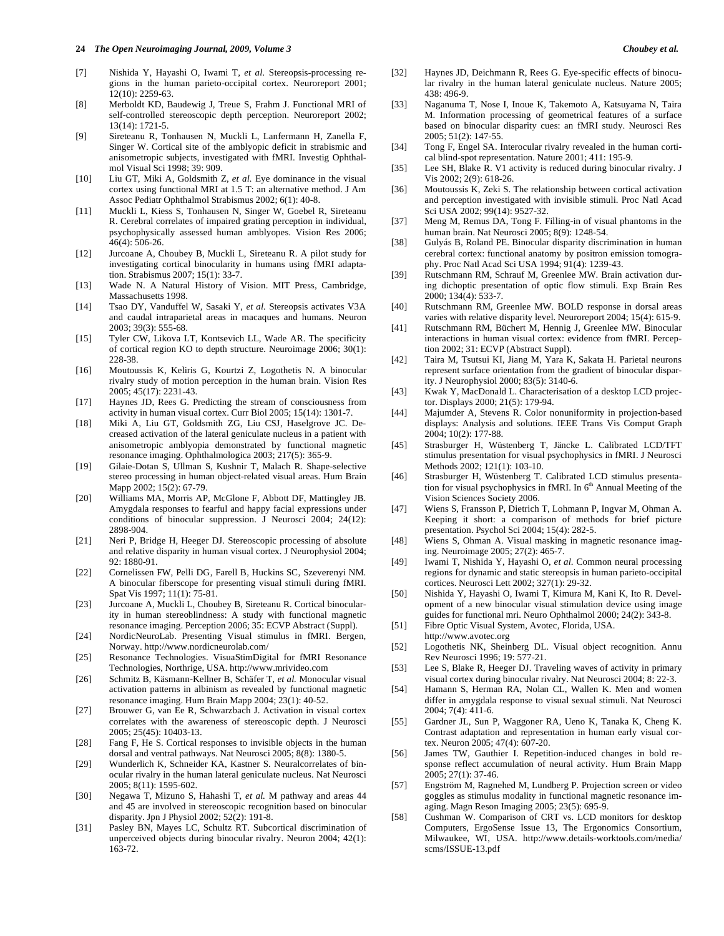- [7] Nishida Y, Hayashi O, Iwami T, *et al.* Stereopsis-processing regions in the human parieto-occipital cortex. Neuroreport 2001; 12(10): 2259-63.
- [8] Merboldt KD, Baudewig J, Treue S, Frahm J. Functional MRI of self-controlled stereoscopic depth perception. Neuroreport 2002; 13(14): 1721-5.
- [9] Sireteanu R, Tonhausen N, Muckli L, Lanfermann H, Zanella F, Singer W. Cortical site of the amblyopic deficit in strabismic and anisometropic subjects, investigated with fMRI. Investig Ophthalmol Visual Sci 1998; 39: 909.
- [10] Liu GT, Miki A, Goldsmith Z, et al. Eye dominance in the visual cortex using functional MRI at 1.5 T: an alternative method. J Am Assoc Pediatr Ophthalmol Strabismus 2002; 6(1): 40-8.
- [11] Muckli L, Kiess S, Tonhausen N, Singer W, Goebel R, Sireteanu R. Cerebral correlates of impaired grating perception in individual, psychophysically assessed human amblyopes. Vision Res 2006; 46(4): 506-26.
- [12] Jurcoane A, Choubey B, Muckli L, Sireteanu R. A pilot study for investigating cortical binocularity in humans using fMRI adaptation. Strabismus 2007; 15(1): 33-7.
- [13] Wade N. A Natural History of Vision. MIT Press, Cambridge, Massachusetts 1998.
- [14] Tsao DY, Vanduffel W, Sasaki Y, *et al.* Stereopsis activates V3A and caudal intraparietal areas in macaques and humans. Neuron 2003; 39(3): 555-68.
- [15] Tyler CW, Likova LT, Kontsevich LL, Wade AR. The specificity of cortical region KO to depth structure. Neuroimage 2006; 30(1): 228-38.
- [16] Moutoussis K, Keliris G, Kourtzi Z, Logothetis N. A binocular rivalry study of motion perception in the human brain. Vision Res 2005; 45(17): 2231-43.
- [17] Haynes JD, Rees G. Predicting the stream of consciousness from activity in human visual cortex. Curr Biol 2005; 15(14): 1301-7.
- [18] Miki A, Liu GT, Goldsmith ZG, Liu CSJ, Haselgrove JC. Decreased activation of the lateral geniculate nucleus in a patient with anisometropic amblyopia demonstrated by functional magnetic resonance imaging. Ophthalmologica 2003; 217(5): 365-9.
- [19] Gilaie-Dotan S, Ullman S, Kushnir T, Malach R. Shape-selective stereo processing in human object-related visual areas. Hum Brain Mapp 2002; 15(2): 67-79.
- [20] Williams MA, Morris AP, McGlone F, Abbott DF, Mattingley JB. Amygdala responses to fearful and happy facial expressions under conditions of binocular suppression. J Neurosci 2004; 24(12): 2898-904.
- [21] Neri P, Bridge H, Heeger DJ. Stereoscopic processing of absolute and relative disparity in human visual cortex. J Neurophysiol 2004; 92: 1880-91.
- [22] Cornelissen FW, Pelli DG, Farell B, Huckins SC, Szeverenyi NM. A binocular fiberscope for presenting visual stimuli during fMRI. Spat Vis 1997; 11(1): 75-81.
- [23] Jurcoane A, Muckli L, Choubey B, Sireteanu R. Cortical binocularity in human stereoblindness: A study with functional magnetic resonance imaging. Perception 2006; 35: ECVP Abstract (Suppl).
- [24] NordicNeuroLab. Presenting Visual stimulus in fMRI. Bergen, Norway. http://www.nordicneurolab.com/
- [25] Resonance Technologies. VisuaStimDigital for fMRI Resonance Technologies, Northrige, USA. http://www.mrivideo.com
- [26] Schmitz B, Käsmann-Kellner B, Schäfer T, *et al.* Monocular visual activation patterns in albinism as revealed by functional magnetic resonance imaging. Hum Brain Mapp 2004; 23(1): 40-52.
- [27] Brouwer G, van Ee R, Schwarzbach J. Activation in visual cortex correlates with the awareness of stereoscopic depth. J Neurosci 2005; 25(45): 10403-13.
- [28] Fang F, He S. Cortical responses to invisible objects in the human dorsal and ventral pathways. Nat Neurosci 2005; 8(8): 1380-5.
- [29] Wunderlich K, Schneider KA, Kastner S. Neuralcorrelates of binocular rivalry in the human lateral geniculate nucleus. Nat Neurosci 2005; 8(11): 1595-602.
- [30] Negawa T, Mizuno S, Hahashi T, *et al.* M pathway and areas 44 and 45 are involved in stereoscopic recognition based on binocular disparity. Jpn J Physiol 2002; 52(2): 191-8.
- [31] Pasley BN, Mayes LC, Schultz RT. Subcortical discrimination of unperceived objects during binocular rivalry. Neuron 2004; 42(1): 163-72.
- [32] Haynes JD, Deichmann R, Rees G. Eye-specific effects of binocular rivalry in the human lateral geniculate nucleus. Nature 2005; 438: 496-9.
- [33] Naganuma T, Nose I, Inoue K, Takemoto A, Katsuyama N, Taira M. Information processing of geometrical features of a surface based on binocular disparity cues: an fMRI study. Neurosci Res 2005; 51(2): 147-55.
- [34] Tong F, Engel SA. Interocular rivalry revealed in the human cortical blind-spot representation. Nature 2001; 411: 195-9.
- [35] Lee SH, Blake R. V1 activity is reduced during binocular rivalry. J Vis 2002; 2(9): 618-26.
- [36] Moutoussis K, Zeki S. The relationship between cortical activation and perception investigated with invisible stimuli. Proc Natl Acad Sci USA 2002; 99(14): 9527-32.
- [37] Meng M, Remus DA, Tong F. Filling-in of visual phantoms in the human brain. Nat Neurosci 2005; 8(9): 1248-54.
- [38] Gulyás B, Roland PE. Binocular disparity discrimination in human cerebral cortex: functional anatomy by positron emission tomography. Proc Natl Acad Sci USA 1994; 91(4): 1239-43.
- [39] Rutschmann RM, Schrauf M, Greenlee MW. Brain activation during dichoptic presentation of optic flow stimuli. Exp Brain Res 2000; 134(4): 533-7.
- [40] Rutschmann RM, Greenlee MW. BOLD response in dorsal areas varies with relative disparity level. Neuroreport 2004; 15(4): 615-9.
- [41] Rutschmann RM, Büchert M, Hennig J, Greenlee MW. Binocular interactions in human visual cortex: evidence from fMRI. Perception 2002; 31: ECVP (Abstract Suppl).
- [42] Taira M, Tsutsui KI, Jiang M, Yara K, Sakata H. Parietal neurons represent surface orientation from the gradient of binocular disparity. J Neurophysiol 2000; 83(5): 3140-6.
- [43] Kwak Y, MacDonald L. Characterisation of a desktop LCD projector. Displays 2000; 21(5): 179-94.
- [44] Majumder A, Stevens R. Color nonuniformity in projection-based displays: Analysis and solutions. IEEE Trans Vis Comput Graph 2004; 10(2): 177-88.
- [45] Strasburger H, Wüstenberg T, Jäncke L. Calibrated LCD/TFT stimulus presentation for visual psychophysics in fMRI. J Neurosci Methods 2002; 121(1): 103-10.
- [46] Strasburger H, Wüstenberg T. Calibrated LCD stimulus presentation for visual psychophysics in fMRI. In  $6<sup>th</sup>$  Annual Meeting of the Vision Sciences Society 2006.
- [47] Wiens S, Fransson P, Dietrich T, Lohmann P, Ingvar M, Ohman A. Keeping it short: a comparison of methods for brief picture presentation. Psychol Sci 2004; 15(4): 282-5.
- [48] Wiens S, Ohman A. Visual masking in magnetic resonance imaging. Neuroimage 2005; 27(2): 465-7.
- [49] Iwami T, Nishida Y, Hayashi O, *et al*. Common neural processing regions for dynamic and static stereopsis in human parieto-occipital cortices. Neurosci Lett 2002; 327(1): 29-32.
- [50] Nishida Y, Hayashi O, Iwami T, Kimura M, Kani K, Ito R. Development of a new binocular visual stimulation device using image guides for functional mri. Neuro Ophthalmol 2000; 24(2): 343-8.
- [51] Fibre Optic Visual System, Avotec, Florida, USA.
- http://www.avotec.org
- [52] Logothetis NK, Sheinberg DL. Visual object recognition. Annu Rev Neurosci 1996; 19: 577-21.
- [53] Lee S, Blake R, Heeger DJ. Traveling waves of activity in primary visual cortex during binocular rivalry. Nat Neurosci 2004; 8: 22-3.
- [54] Hamann S, Herman RA, Nolan CL, Wallen K. Men and women differ in amygdala response to visual sexual stimuli. Nat Neurosci 2004; 7(4): 411-6.
- [55] Gardner JL, Sun P, Waggoner RA, Ueno K, Tanaka K, Cheng K. Contrast adaptation and representation in human early visual cortex. Neuron 2005; 47(4): 607-20.
- [56] James TW, Gauthier I. Repetition-induced changes in bold response reflect accumulation of neural activity. Hum Brain Mapp 2005; 27(1): 37-46.
- [57] Engström M, Ragnehed M, Lundberg P. Projection screen or video goggles as stimulus modality in functional magnetic resonance imaging. Magn Reson Imaging 2005; 23(5): 695-9.
- [58] Cushman W. Comparison of CRT vs. LCD monitors for desktop Computers, ErgoSense Issue 13, The Ergonomics Consortium, Milwaukee, WI, USA. http://www.details-worktools.com/media/ scms/ISSUE-13.pdf